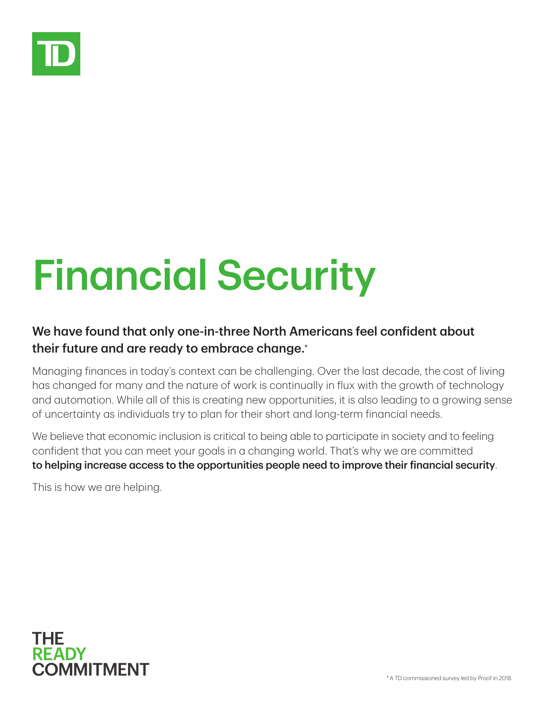

## Financial Security

## We have found that only one-in-three North Americans feel confident about their future and are ready to embrace change.\*

Managing finances in today's context can be challenging. Over the last decade, the cost of living has changed for many and the nature of work is continually in flux with the growth of technology and automation. While all of this is creating new opportunities, it is also leading to a growing sense of uncertainty as individuals try to plan for their short and long-term financial needs.

We believe that economic inclusion is critical to being able to participate in society and to feeling confident that you can meet your goals in a changing world. That's why we are committed to helping increase access to the opportunities people need to improve their financial security.

This is how we are helping.